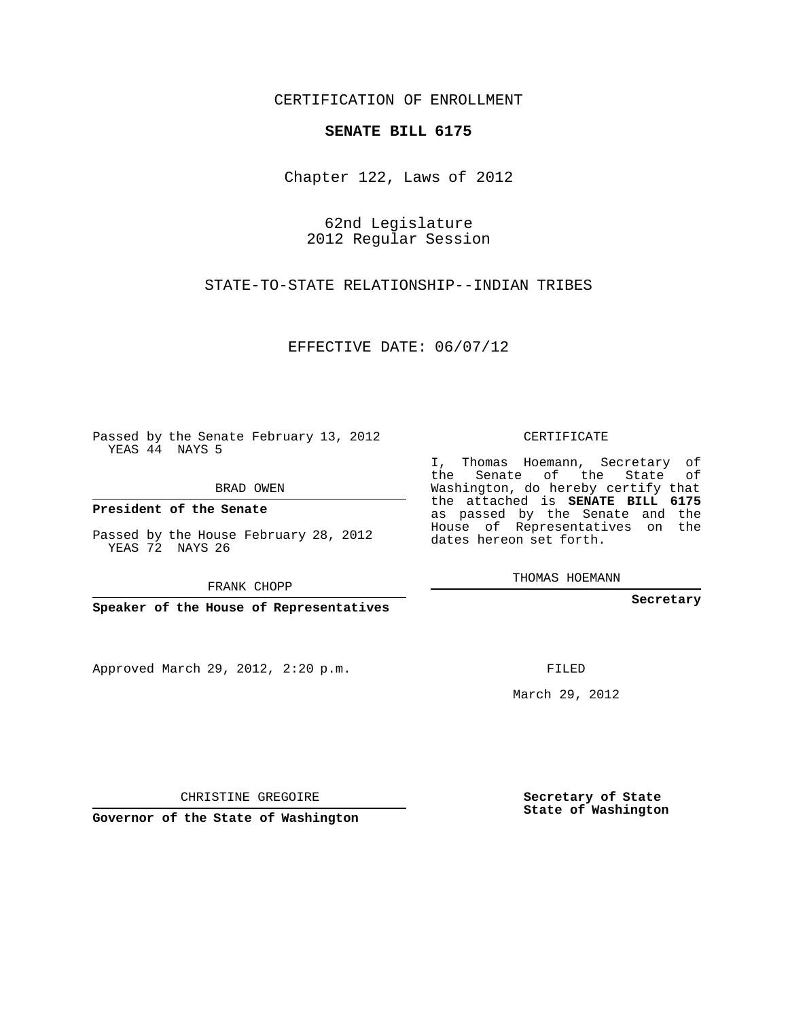## CERTIFICATION OF ENROLLMENT

## **SENATE BILL 6175**

Chapter 122, Laws of 2012

62nd Legislature 2012 Regular Session

STATE-TO-STATE RELATIONSHIP--INDIAN TRIBES

EFFECTIVE DATE: 06/07/12

Passed by the Senate February 13, 2012 YEAS 44 NAYS 5

BRAD OWEN

**President of the Senate**

Passed by the House February 28, 2012 YEAS 72 NAYS 26

FRANK CHOPP

**Speaker of the House of Representatives**

Approved March 29, 2012, 2:20 p.m.

CERTIFICATE

I, Thomas Hoemann, Secretary of the Senate of the State of Washington, do hereby certify that the attached is **SENATE BILL 6175** as passed by the Senate and the House of Representatives on the dates hereon set forth.

THOMAS HOEMANN

**Secretary**

FILED

March 29, 2012

**Secretary of State State of Washington**

CHRISTINE GREGOIRE

**Governor of the State of Washington**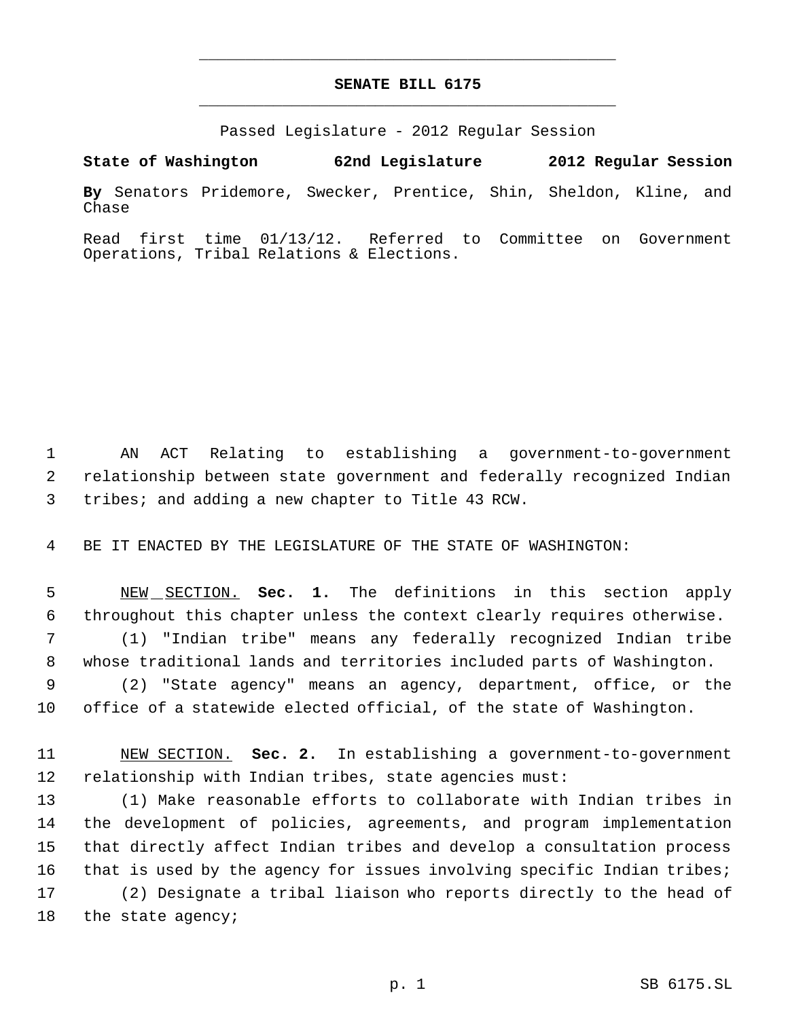## **SENATE BILL 6175** \_\_\_\_\_\_\_\_\_\_\_\_\_\_\_\_\_\_\_\_\_\_\_\_\_\_\_\_\_\_\_\_\_\_\_\_\_\_\_\_\_\_\_\_\_

\_\_\_\_\_\_\_\_\_\_\_\_\_\_\_\_\_\_\_\_\_\_\_\_\_\_\_\_\_\_\_\_\_\_\_\_\_\_\_\_\_\_\_\_\_

Passed Legislature - 2012 Regular Session

**By** Senators Pridemore, Swecker, Prentice, Shin, Sheldon, Kline, and Chase

**State of Washington 62nd Legislature 2012 Regular Session**

Read first time 01/13/12. Referred to Committee on Government Operations, Tribal Relations & Elections.

 AN ACT Relating to establishing a government-to-government relationship between state government and federally recognized Indian tribes; and adding a new chapter to Title 43 RCW.

BE IT ENACTED BY THE LEGISLATURE OF THE STATE OF WASHINGTON:

 NEW SECTION. **Sec. 1.** The definitions in this section apply throughout this chapter unless the context clearly requires otherwise.

 (1) "Indian tribe" means any federally recognized Indian tribe whose traditional lands and territories included parts of Washington.

 (2) "State agency" means an agency, department, office, or the office of a statewide elected official, of the state of Washington.

 NEW SECTION. **Sec. 2.** In establishing a government-to-government relationship with Indian tribes, state agencies must:

 (1) Make reasonable efforts to collaborate with Indian tribes in the development of policies, agreements, and program implementation that directly affect Indian tribes and develop a consultation process 16 that is used by the agency for issues involving specific Indian tribes; (2) Designate a tribal liaison who reports directly to the head of the state agency;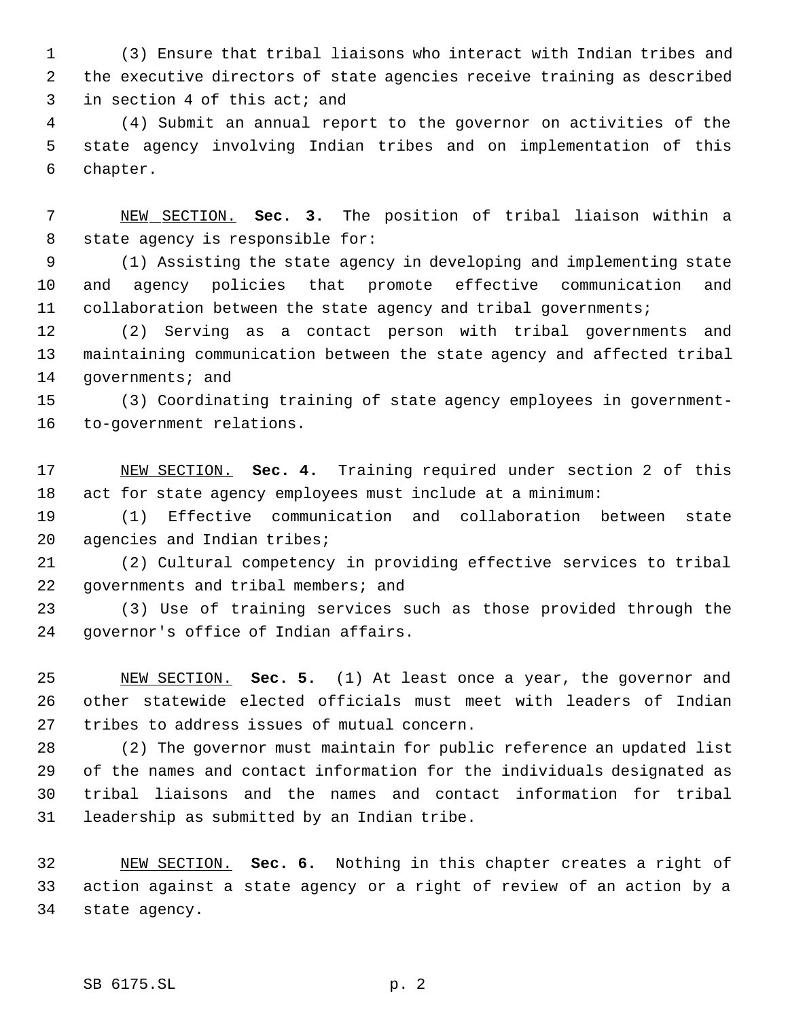(3) Ensure that tribal liaisons who interact with Indian tribes and the executive directors of state agencies receive training as described in section 4 of this act; and

 (4) Submit an annual report to the governor on activities of the state agency involving Indian tribes and on implementation of this chapter.

 NEW SECTION. **Sec. 3.** The position of tribal liaison within a state agency is responsible for:

 (1) Assisting the state agency in developing and implementing state and agency policies that promote effective communication and collaboration between the state agency and tribal governments;

 (2) Serving as a contact person with tribal governments and maintaining communication between the state agency and affected tribal 14 governments; and

 (3) Coordinating training of state agency employees in government-to-government relations.

 NEW SECTION. **Sec. 4.** Training required under section 2 of this act for state agency employees must include at a minimum:

 (1) Effective communication and collaboration between state agencies and Indian tribes;

 (2) Cultural competency in providing effective services to tribal governments and tribal members; and

 (3) Use of training services such as those provided through the governor's office of Indian affairs.

 NEW SECTION. **Sec. 5.** (1) At least once a year, the governor and other statewide elected officials must meet with leaders of Indian tribes to address issues of mutual concern.

 (2) The governor must maintain for public reference an updated list of the names and contact information for the individuals designated as tribal liaisons and the names and contact information for tribal leadership as submitted by an Indian tribe.

 NEW SECTION. **Sec. 6.** Nothing in this chapter creates a right of action against a state agency or a right of review of an action by a state agency.